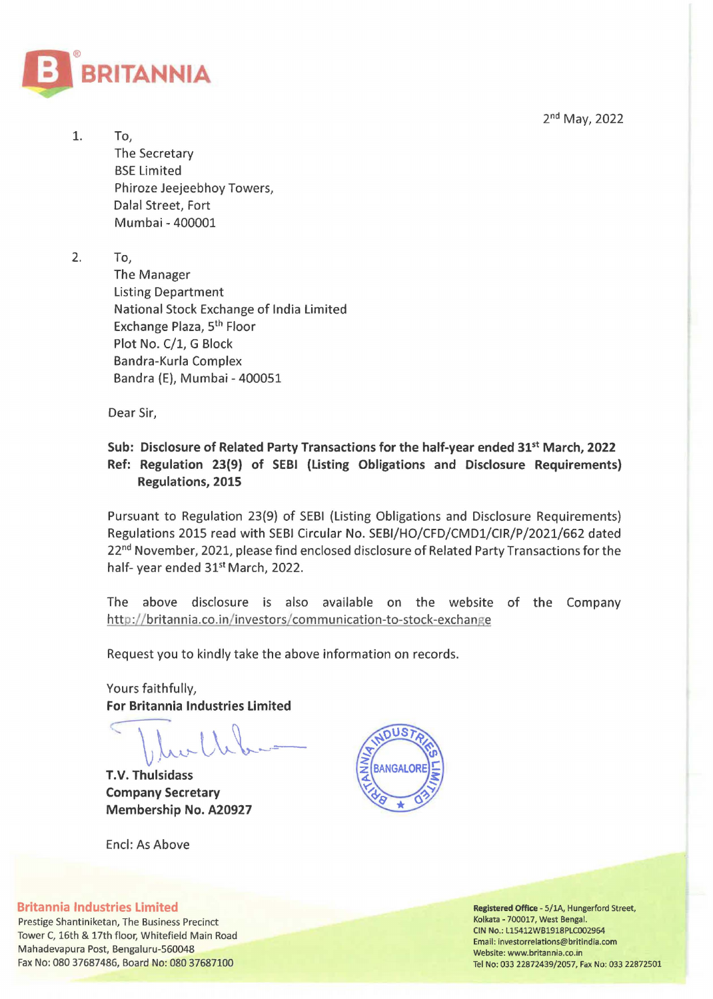2nd May, 2022



1. To, The Secretary BSE Limited Phiroze Jeejeebhoy Towers, Dalal Street, Fort Mumbai- 400001

2. To,

The Manager Listing Department National Stock Exchange of India Limited Exchange Plaza, 5th Floor Plot No. C/1, G Block Bandra-Kurla Complex Bandra (E), Mumbai- 400051

Dear Sir,

## **Sub: Disclosure of Related Party Transactions for the half-year ended** 31st **March, 2022 Ref: Regulation 23(9) of SEBI {Listing Obligations and Disclosure Requirements) Regulations, 2015**

Pursuant to Regulation 23(9) of SEBI (Listing Obligations and Disclosure Requirements) Regulations 2015 read with SEBI Circular No. SEBI/HO/CFD/CMD1/CIR/P/2021/662 dated 22<sup>nd</sup> November, 2021, please find enclosed disclosure of Related Party Transactions for the half- year ended 31<sup>st</sup> March, 2022.

The above disclosure is also available on the website of the Company http://britannia.co.in/investors/communication-to-stock-exchange

Request you to kindly take the above information on records.

Yours faithfully, **For Britannia Industries Limited** 

 $\int_{\mathbb{R}}$  let  $\int_{\mathbb{R}}$ 

**r.v. Thulsidass Company Secretary Membership No. A20927** 

End: As Above



**Britannia Industries Limited** 

Prestige Shantiniketan, The Business Precinct Tower C, 16th & 17th floor, Whitefield Main Road Mahadevapura Post, Bengaluru-560048 Fax No: 080 37687486, Board No: 080 37687100

Registered Office- 5/lA, Hungerford Street, Kolkata- 700017, West Bengal. CIN No.: L15412WB1918PLC002964 Email: investorrelations@britindia.com Website: www.britannia.co.m Tel No: 033 22872439/2057, Fax Nu: 033 22872501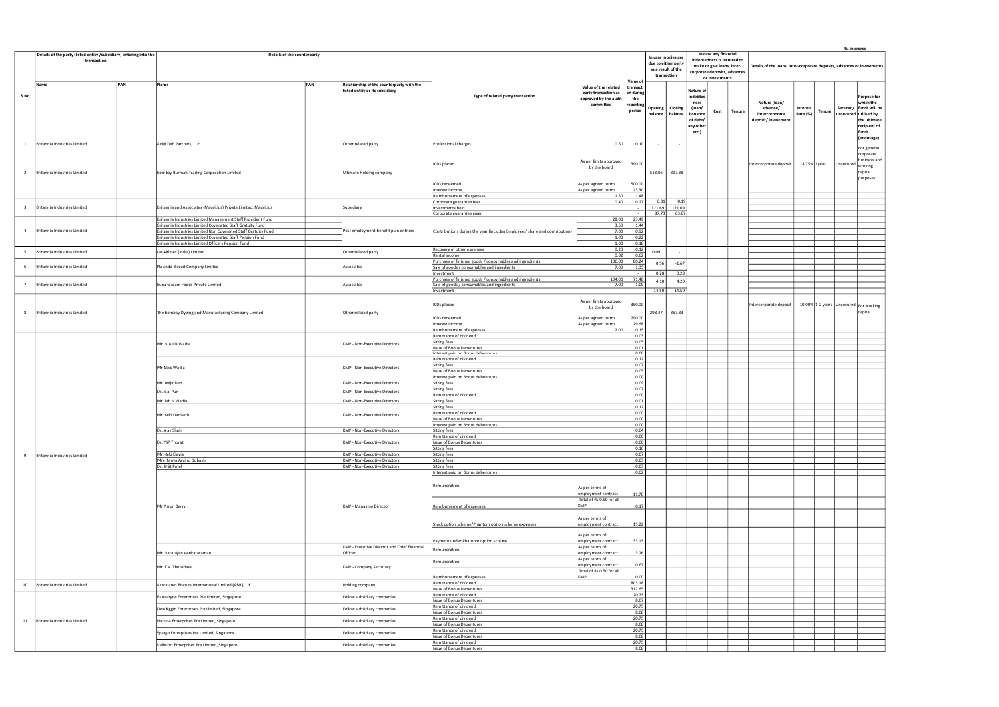|                |                              |                                                                                                                              |  |                                                                              |                                                                            |                                                                                    |                                                     |                                                                                |                                                                                                                    |                                                     |                |                                                                         |                                             |                      |        | Rs. in crores |                                                                           |
|----------------|------------------------------|------------------------------------------------------------------------------------------------------------------------------|--|------------------------------------------------------------------------------|----------------------------------------------------------------------------|------------------------------------------------------------------------------------|-----------------------------------------------------|--------------------------------------------------------------------------------|--------------------------------------------------------------------------------------------------------------------|-----------------------------------------------------|----------------|-------------------------------------------------------------------------|---------------------------------------------|----------------------|--------|---------------|---------------------------------------------------------------------------|
|                | transaction                  | Details of the party (listed entity /subsidiary) entering into the<br>Details of the counterparty                            |  |                                                                              |                                                                            |                                                                                    |                                                     | In case monies are<br>due to either party<br>as a result of the<br>transaction | In case any financial<br>indebtedness is incurred to<br>make or give loans, inter-<br>corporate deposits, advances |                                                     |                | Details of the loans, inter-corporate deposits, advances or investments |                                             |                      |        |               |                                                                           |
|                |                              | PAN                                                                                                                          |  |                                                                              |                                                                            |                                                                                    | Value of                                            |                                                                                |                                                                                                                    |                                                     | or investments |                                                                         |                                             |                      |        |               |                                                                           |
| S.No           | Name<br>PAN                  | Name                                                                                                                         |  | Relationship of the counterparty with the<br>listed entity or its subsidiary | Type of related party transaction                                          | Value of the related<br>party transaction as<br>approved by the audit<br>committee | transact<br>on during<br>the<br>reporting<br>period | balance                                                                        | Opening   Closing<br>balance                                                                                       | Nature of<br>indebted<br>ness<br>(loan/<br>issuance | Cost           | Tenure                                                                  | Nature (loan/<br>advance/<br>intercorporate | Interest<br>Rate (%) | Tenure | Secured/      | <b>Purpose for</b><br>which the<br>funds will be<br>unsecured utilised by |
|                |                              |                                                                                                                              |  |                                                                              |                                                                            |                                                                                    |                                                     |                                                                                |                                                                                                                    | of debt/<br>any other<br>etc.)                      |                |                                                                         | deposit/investment                          |                      |        |               | the ultimate<br>recipient of<br>funds<br>(endusage)                       |
|                | Britannia Industries Limited | Avijit Deb Partners, LLP                                                                                                     |  | Other related party                                                          | Professional charges                                                       | 0.50                                                                               | 0.10                                                |                                                                                |                                                                                                                    |                                                     |                |                                                                         |                                             |                      |        |               | For general                                                               |
|                |                              |                                                                                                                              |  |                                                                              |                                                                            |                                                                                    |                                                     |                                                                                |                                                                                                                    |                                                     |                |                                                                         |                                             |                      |        |               | corporate,                                                                |
| 2              | Britannia Industries Limited | Bombay Burmah Trading Corporation Limited                                                                                    |  | <b>Ultimate Holding company</b>                                              | ICDs placed                                                                | As per limits approved<br>by the board                                             | 390.00                                              | 513.06                                                                         | 397.38                                                                                                             |                                                     |                |                                                                         | Intercorporate deposit                      | 8.75% 1year          |        | Unsecured     | business and<br>working<br>capital<br>purposes.                           |
|                |                              |                                                                                                                              |  |                                                                              | ICDs redeemed                                                              | As per agreed terms                                                                | 500.00                                              |                                                                                |                                                                                                                    |                                                     |                |                                                                         |                                             |                      |        |               |                                                                           |
|                |                              |                                                                                                                              |  |                                                                              | Interest income                                                            | As per agreed terms                                                                | 23.30                                               |                                                                                |                                                                                                                    |                                                     |                |                                                                         |                                             |                      |        |               |                                                                           |
|                |                              |                                                                                                                              |  |                                                                              | Reimbursement of expenses<br>Corporate guarantee fees                      | 1.50<br>0.40                                                                       | 1.48<br>0.27                                        | 0.31                                                                           | 0.19                                                                                                               |                                                     |                |                                                                         |                                             |                      |        |               |                                                                           |
| -3             | Britannia Industries Limited | Britannia and Associates (Mauritius) Private Limited, Mauritius                                                              |  | Subsidiary                                                                   | nvestments held<br>Corporate guarantee given                               |                                                                                    |                                                     | 121.69<br>87.73                                                                | 121.69<br>63.67                                                                                                    |                                                     |                |                                                                         |                                             |                      |        |               |                                                                           |
|                |                              | Britannia Industries Limited Management Staff Provident Fund                                                                 |  |                                                                              |                                                                            | 28.00                                                                              | 23.49                                               |                                                                                |                                                                                                                    |                                                     |                |                                                                         |                                             |                      |        |               |                                                                           |
| $\overline{4}$ | Britannia Industries Limited | Britannia Industries Limited Covenated Staff Gratuity Fund<br>Britannia Industries Limited Non Covenated Staff Gratuity Fund |  | Post employment-benefit plan entities                                        | Contributions during the year (includes Employees' share and contribution) | 3.50<br>7.00                                                                       | 1.44<br>0.92                                        |                                                                                |                                                                                                                    |                                                     |                |                                                                         |                                             |                      |        |               |                                                                           |
|                |                              | Britannia Industries Limited Covenated Staff Pension Fund                                                                    |  |                                                                              |                                                                            | 1.00                                                                               | 0.22                                                |                                                                                |                                                                                                                    |                                                     |                |                                                                         |                                             |                      |        |               |                                                                           |
|                |                              | Britannia Industries Limited Officers Pension Fund                                                                           |  |                                                                              |                                                                            | 1.00                                                                               | 0.18                                                |                                                                                |                                                                                                                    |                                                     |                |                                                                         |                                             |                      |        |               |                                                                           |
| - 5            | Britannia Industries Limited | Go Airlines (India) Limited                                                                                                  |  | Other related party                                                          | Recovery of other expenses<br>Rental income                                | 0.20<br>0.02                                                                       | 0.12<br>0.02                                        | 0.09                                                                           |                                                                                                                    |                                                     |                |                                                                         |                                             |                      |        |               |                                                                           |
|                |                              |                                                                                                                              |  |                                                                              | Purchase of finished goods / consumables and ingredients                   | 100.00                                                                             | 80.24                                               |                                                                                |                                                                                                                    |                                                     |                |                                                                         |                                             |                      |        |               |                                                                           |
| 6              | Britannia Industries Limited | Nalanda Biscuit Company Limited                                                                                              |  | Associates                                                                   | Sale of goods / consumables and ingredients                                | 7.00                                                                               | 1.35                                                | 0.56                                                                           | $-1.67$                                                                                                            |                                                     |                |                                                                         |                                             |                      |        |               |                                                                           |
|                |                              |                                                                                                                              |  |                                                                              | nvestment<br>Purchase of finished goods / consumables and ingredients      | 104.00                                                                             | 71.48                                               | 0.28                                                                           | 0.28                                                                                                               |                                                     |                |                                                                         |                                             |                      |        |               |                                                                           |
|                | Britannia Industries Limited | Sunandaram Foods Private Limited                                                                                             |  | Associates                                                                   | Sale of goods / consumables and ingredients                                | 7.00                                                                               | 1.09                                                | 4.10                                                                           | 4.20                                                                                                               |                                                     |                |                                                                         |                                             |                      |        |               |                                                                           |
|                |                              |                                                                                                                              |  |                                                                              | Investment                                                                 |                                                                                    | $\sim$                                              | 14.50                                                                          | 14.50                                                                                                              |                                                     |                |                                                                         |                                             |                      |        |               |                                                                           |
|                |                              |                                                                                                                              |  |                                                                              |                                                                            | As per limits approved                                                             |                                                     |                                                                                |                                                                                                                    |                                                     |                |                                                                         |                                             |                      |        |               |                                                                           |
|                |                              |                                                                                                                              |  |                                                                              | ICDs placed                                                                | by the board                                                                       | 350.00                                              |                                                                                |                                                                                                                    |                                                     |                |                                                                         | Intercorporate deposit                      |                      |        |               | 10.00% 1-2 years Unsecured For working                                    |
| 8              | Britannia Industries Limited | The Bombay Dyeing and Manufacturing Company Limited                                                                          |  | Other related party                                                          | ICDs redeemed                                                              | As per agreed terms                                                                | 290.00                                              | 298.47                                                                         | 357.33                                                                                                             |                                                     |                |                                                                         |                                             |                      |        |               | capital                                                                   |
|                |                              |                                                                                                                              |  |                                                                              | Interest income                                                            | As per agreed terms                                                                | 29.68                                               |                                                                                |                                                                                                                    |                                                     |                |                                                                         |                                             |                      |        |               |                                                                           |
|                |                              |                                                                                                                              |  |                                                                              | Reimbursement of expenses                                                  | 2.00                                                                               | 0.15                                                |                                                                                |                                                                                                                    |                                                     |                |                                                                         |                                             |                      |        |               |                                                                           |
|                |                              |                                                                                                                              |  |                                                                              | Remittance of dividend                                                     |                                                                                    | 0.03<br>0.05                                        |                                                                                |                                                                                                                    |                                                     |                |                                                                         |                                             |                      |        |               |                                                                           |
|                |                              | Mr. Nusli N Wadia                                                                                                            |  | KMP - Non-Executive Directors                                                | Sitting fees<br>Issue of Bonus Debentures                                  |                                                                                    | 0.01                                                |                                                                                |                                                                                                                    |                                                     |                |                                                                         |                                             |                      |        |               |                                                                           |
|                |                              |                                                                                                                              |  |                                                                              | Interest paid on Bonus debentures                                          |                                                                                    | 0.00                                                |                                                                                |                                                                                                                    |                                                     |                |                                                                         |                                             |                      |        |               |                                                                           |
|                |                              |                                                                                                                              |  |                                                                              | Remittance of dividend<br>Sitting fees                                     |                                                                                    | 0.12<br>0.07                                        |                                                                                |                                                                                                                    |                                                     |                |                                                                         |                                             |                      |        |               |                                                                           |
|                |                              | Mr Ness Wadia                                                                                                                |  | KMP - Non-Executive Directors                                                | <b>Issue of Bonus Debentures</b>                                           |                                                                                    | 0.05                                                |                                                                                |                                                                                                                    |                                                     |                |                                                                         |                                             |                      |        |               |                                                                           |
|                |                              |                                                                                                                              |  |                                                                              | Interest paid on Bonus debentures                                          |                                                                                    | 0.00                                                |                                                                                |                                                                                                                    |                                                     |                |                                                                         |                                             |                      |        |               |                                                                           |
|                |                              | Mr. Avijit Deb                                                                                                               |  | KMP - Non-Executive Directors                                                | Sitting fees<br>Sitting fees                                               |                                                                                    | 0.09<br>0.07                                        |                                                                                |                                                                                                                    |                                                     |                |                                                                         |                                             |                      |        |               |                                                                           |
|                |                              | Dr. Ajai Puri                                                                                                                |  | KMP - Non-Executive Directors                                                | Remittance of dividend                                                     |                                                                                    | 0.00                                                |                                                                                |                                                                                                                    |                                                     |                |                                                                         |                                             |                      |        |               |                                                                           |
|                |                              | Mr. Jeh N Wadia                                                                                                              |  | KMP - Non-Executive Directors                                                | Sitting fees                                                               |                                                                                    | 0.01                                                |                                                                                |                                                                                                                    |                                                     |                |                                                                         |                                             |                      |        |               |                                                                           |
|                |                              |                                                                                                                              |  |                                                                              | Sitting fees<br>Remittance of dividend                                     |                                                                                    | 0.12<br>0.00                                        |                                                                                |                                                                                                                    |                                                     |                |                                                                         |                                             |                      |        |               |                                                                           |
|                |                              | Mr. Keki Dadiseth                                                                                                            |  | KMP - Non-Executive Directors                                                | <b>Issue of Bonus Debentures</b>                                           |                                                                                    | 0.00                                                |                                                                                |                                                                                                                    |                                                     |                |                                                                         |                                             |                      |        |               |                                                                           |
|                |                              |                                                                                                                              |  |                                                                              | Interest paid on Bonus debentures                                          |                                                                                    | 0.00                                                |                                                                                |                                                                                                                    |                                                     |                |                                                                         |                                             |                      |        |               |                                                                           |
|                |                              | Dr. Ajay Shah                                                                                                                |  | KMP - Non-Executive Directors                                                | Sitting fees<br>Remittance of dividend                                     |                                                                                    | 0.04<br>0.00                                        |                                                                                |                                                                                                                    |                                                     |                |                                                                         |                                             |                      |        |               |                                                                           |
|                |                              | Dr. YSP Thorat                                                                                                               |  | KMP - Non-Executive Directors                                                | Issue of Bonus Debentures                                                  |                                                                                    | 0.00                                                |                                                                                |                                                                                                                    |                                                     |                |                                                                         |                                             |                      |        |               |                                                                           |
|                |                              |                                                                                                                              |  |                                                                              | Sitting fees                                                               |                                                                                    | 0.10                                                |                                                                                |                                                                                                                    |                                                     |                |                                                                         |                                             |                      |        |               |                                                                           |
| 9              | Britannia Industries Limited | Mr. Keki Elavia<br>Mrs. Tanya Arvind Dubash                                                                                  |  | KMP - Non-Executive Directors<br>KMP - Non-Executive Directors               | Sitting fees<br>Sitting fees                                               |                                                                                    | 0.07<br>0.03                                        |                                                                                |                                                                                                                    |                                                     |                |                                                                         |                                             |                      |        |               |                                                                           |
|                |                              | Dr. Urjit Patel                                                                                                              |  | KMP - Non-Executive Directors                                                | Sitting fees                                                               |                                                                                    | 0.03                                                |                                                                                |                                                                                                                    |                                                     |                |                                                                         |                                             |                      |        |               |                                                                           |
|                |                              |                                                                                                                              |  |                                                                              | Interest paid on Bonus debentures                                          |                                                                                    | 0.02                                                |                                                                                |                                                                                                                    |                                                     |                |                                                                         |                                             |                      |        |               |                                                                           |
|                |                              |                                                                                                                              |  |                                                                              | Remuneration                                                               |                                                                                    |                                                     |                                                                                |                                                                                                                    |                                                     |                |                                                                         |                                             |                      |        |               |                                                                           |
|                |                              |                                                                                                                              |  |                                                                              |                                                                            | As per terms of<br>employment contract                                             | 11.70                                               |                                                                                |                                                                                                                    |                                                     |                |                                                                         |                                             |                      |        |               |                                                                           |
|                |                              |                                                                                                                              |  |                                                                              |                                                                            | Total of Rs.0.50 for all                                                           |                                                     |                                                                                |                                                                                                                    |                                                     |                |                                                                         |                                             |                      |        |               |                                                                           |
|                |                              | Mr.Varun Berry                                                                                                               |  | <b>KMP - Managing Director</b>                                               | Reimbursement of expenses                                                  | KMP                                                                                | 0.17                                                |                                                                                |                                                                                                                    |                                                     |                |                                                                         |                                             |                      |        |               |                                                                           |
|                |                              |                                                                                                                              |  |                                                                              |                                                                            | As per terms of                                                                    |                                                     |                                                                                |                                                                                                                    |                                                     |                |                                                                         |                                             |                      |        |               |                                                                           |
|                |                              |                                                                                                                              |  |                                                                              | Stock option scheme/Phantom option scheme expenses                         | employment contract                                                                | 15.22                                               |                                                                                |                                                                                                                    |                                                     |                |                                                                         |                                             |                      |        |               |                                                                           |
|                |                              |                                                                                                                              |  |                                                                              |                                                                            | As per terms of                                                                    |                                                     |                                                                                |                                                                                                                    |                                                     |                |                                                                         |                                             |                      |        |               |                                                                           |
|                |                              |                                                                                                                              |  |                                                                              | Payment under Phantom option scheme                                        | employment contract                                                                | 33.13                                               |                                                                                |                                                                                                                    |                                                     |                |                                                                         |                                             |                      |        |               |                                                                           |
|                |                              | Mr. Natarajan Venkataraman                                                                                                   |  | KMP - Executive Director and Chief Financial<br>Officer                      | Remuneration                                                               | As per terms of<br>employment contract                                             | 3.26                                                |                                                                                |                                                                                                                    |                                                     |                |                                                                         |                                             |                      |        |               |                                                                           |
|                |                              |                                                                                                                              |  |                                                                              |                                                                            | As per terms of                                                                    |                                                     |                                                                                |                                                                                                                    |                                                     |                |                                                                         |                                             |                      |        |               |                                                                           |
|                |                              | Mr. T.V. Thulsidass                                                                                                          |  | KMP - Company Secretary                                                      | Remuneration                                                               | employment contract                                                                | 0.67                                                |                                                                                |                                                                                                                    |                                                     |                |                                                                         |                                             |                      |        |               |                                                                           |
|                |                              |                                                                                                                              |  |                                                                              | Reimbursement of expenses                                                  | Total of Rs.0.50 for all<br>KMP                                                    | 0.00                                                |                                                                                |                                                                                                                    |                                                     |                |                                                                         |                                             |                      |        |               |                                                                           |
| 10             | Britannia Industries Limited | Associated Biscuits International Limited (ABIL), UK                                                                         |  | Holding company                                                              | Remittance of dividend                                                     |                                                                                    | 803.18                                              |                                                                                |                                                                                                                    |                                                     |                |                                                                         |                                             |                      |        |               |                                                                           |
|                |                              |                                                                                                                              |  |                                                                              | Issue of Bonus Debentures<br>Remittance of dividend                        |                                                                                    | 312.65<br>20.73                                     |                                                                                |                                                                                                                    |                                                     |                |                                                                         |                                             |                      |        |               |                                                                           |
|                |                              | Bannatyne Enterprises Pte Limited, Singapore                                                                                 |  | Fellow subsidiary companies                                                  | Issue of Bonus Debentures                                                  |                                                                                    | 8.07                                                |                                                                                |                                                                                                                    |                                                     |                |                                                                         |                                             |                      |        |               |                                                                           |
|                |                              | Dowbiggin Enterprises Pte Limited, Singapore                                                                                 |  | Fellow subsidiary companies                                                  | Remittance of dividend                                                     |                                                                                    | 20.75                                               |                                                                                |                                                                                                                    |                                                     |                |                                                                         |                                             |                      |        |               |                                                                           |
|                |                              |                                                                                                                              |  |                                                                              | Issue of Bonus Debentures<br>Remittance of dividend                        |                                                                                    | 8.08<br>20.75                                       |                                                                                |                                                                                                                    |                                                     |                |                                                                         |                                             |                      |        |               |                                                                           |
| 11             | Britannia Industries Limited | Nacupa Enterprises Pte Limited, Singapore                                                                                    |  | Fellow subsidiary companies                                                  | Issue of Bonus Debentures                                                  |                                                                                    | 8.08                                                |                                                                                |                                                                                                                    |                                                     |                |                                                                         |                                             |                      |        |               |                                                                           |
|                |                              | Spargo Enterprises Pte Limited, Singapore                                                                                    |  | Fellow subsidiary companies                                                  | Remittance of dividend                                                     |                                                                                    | 20.75                                               |                                                                                |                                                                                                                    |                                                     |                |                                                                         |                                             |                      |        |               |                                                                           |
|                |                              |                                                                                                                              |  |                                                                              | Issue of Bonus Debentures<br>Remittance of dividend                        |                                                                                    | 8.08<br>20.75                                       |                                                                                |                                                                                                                    |                                                     |                |                                                                         |                                             |                      |        |               |                                                                           |
|                |                              | Valletort Enterprises Pte Limited, Singapore                                                                                 |  | Fellow subsidiary companies                                                  | ssue of Bonus Debentures                                                   |                                                                                    | 8.08                                                |                                                                                |                                                                                                                    |                                                     |                |                                                                         |                                             |                      |        |               |                                                                           |
|                |                              |                                                                                                                              |  |                                                                              |                                                                            |                                                                                    |                                                     |                                                                                |                                                                                                                    |                                                     |                |                                                                         |                                             |                      |        |               |                                                                           |